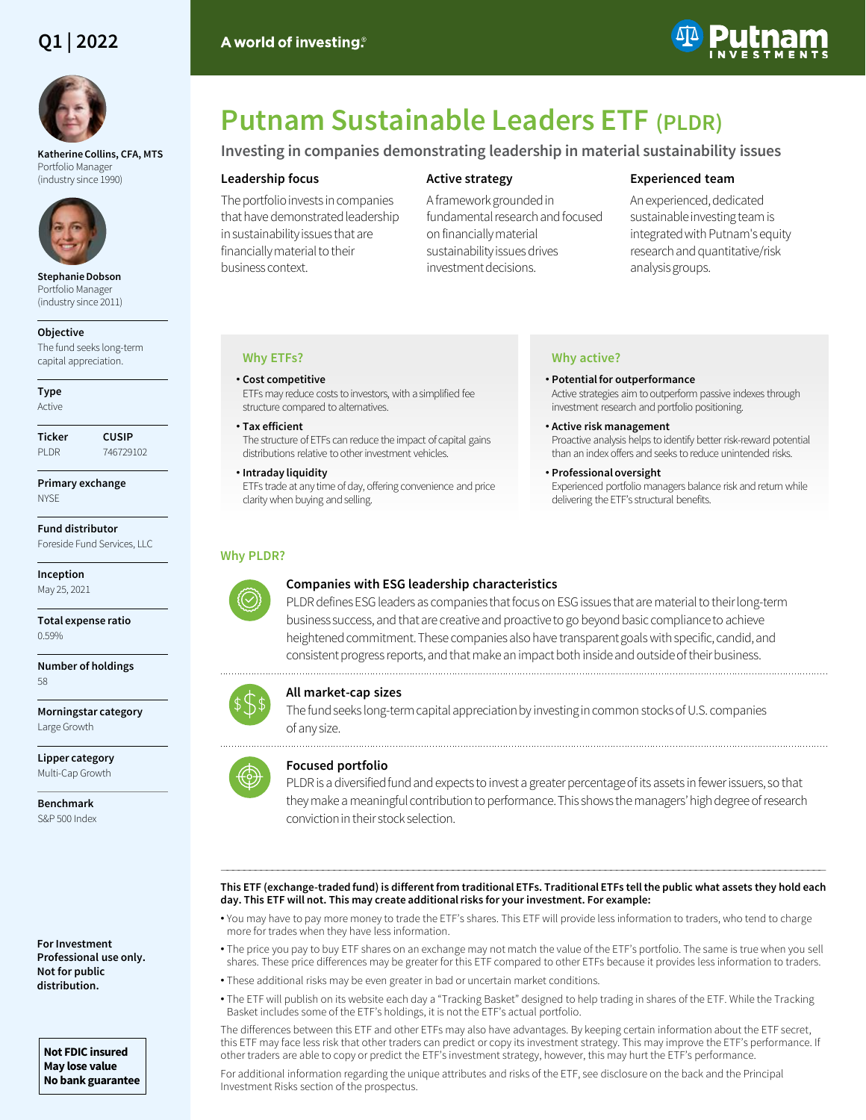## **Q1 | 2022**



**Katherine Collins, CFA, MTS**  Portfolio Manager (industry since 1990)



**Stephanie Dobson**  Portfolio Manager (industry since 2011)

#### **Objective**

The fund seeks long-term capital appreciation.

**Type** Active

**Ticker CUSIP** PLDR 746729102

**Primary exchange NYSE** 

**Fund distributor** Foreside Fund Services, LLC

**Inception** May 25, 2021

**Total expense ratio** 0.59%

**Number of holdings** 58

**Morningstar category** Large Growth

**Lipper category** Multi-Cap Growth

**Benchmark** S&P 500 Index

**For Investment Professional use only. Not for public distribution.**

**Not FDIC insured May lose value No bank guarantee**

# **Putnam Sustainable Leaders ETF (PLDR)**

## **Investing in companies demonstrating leadership in material sustainability issues**

#### **Leadership focus**

A world of investing.<sup>®</sup>

The portfolio invests in companies that have demonstrated leadership in sustainability issues that are financially material to their business context.

## **Active strategy**

A framework grounded in fundamental research and focused on financially material sustainability issues drives investment decisions.

## **Experienced team**

An experienced, dedicated sustainable investing team is integrated with Putnam's equity research and quantitative/risk analysis groups.

## **Why ETFs?**

## • **Cost competitive**

ETFs may reduce costs to investors, with a simplified fee structure compared to alternatives.

- **Tax efficient** The structure of ETFs can reduce the impact of capital gains distributions relative to other investment vehicles.
- **Intraday liquidity**

ETFs trade at any time of day, offering convenience and price clarity when buying and selling.

## **Why active?**

• **Potential for outperformance** Active strategies aim to outperform passive indexes through investment research and portfolio positioning.

- **Active risk management** Proactive analysis helps to identify better risk-reward potential than an index offers and seeks to reduce unintended risks.
- **Professional oversight** Experienced portfolio managers balance risk and return while delivering the ETF's structural benefits.

## **Why PLDR?**



## **Companies with ESG leadership characteristics**

PLDR defines ESG leaders as companies that focus on ESG issues that are material to their long-term business success, and that are creative and proactive to go beyond basic compliance to achieve heightened commitment. These companies also have transparent goals with specific, candid, and consistent progress reports, and that make an impact both inside and outside of their business.

## **All market-cap sizes**

The fund seeks long-term capital appreciation by investing in common stocks of U.S. companies of any size.



## **Focused portfolio**

PLDR is a diversified fund and expects to invest a greater percentage of its assets in fewer issuers, so that they make a meaningful contribution to performance. This shows the managers' high degree of research conviction in their stock selection.

#### ――――――――――――――――――――――――――――――――――――――――――――――――――――――――――――――――――――――――――――――――――――――――――――――――――――――――――― **This ETF (exchange-traded fund) is different from traditional ETFs. Traditional ETFs tell the public what assets they hold each day. This ETF will not. This may create additional risks for your investment. For example:**

- You may have to pay more money to trade the ETF's shares. This ETF will provide less information to traders, who tend to charge more for trades when they have less information.
- The price you pay to buy ETF shares on an exchange may not match the value of the ETF's portfolio. The same is true when you sell shares. These price differences may be greater for this ETF compared to other ETFs because it provides less information to traders.
- These additional risks may be even greater in bad or uncertain market conditions.
- The ETF will publish on its website each day a "Tracking Basket" designed to help trading in shares of the ETF. While the Tracking Basket includes some of the ETF's holdings, it is not the ETF's actual portfolio.

The differences between this ETF and other ETFs may also have advantages. By keeping certain information about the ETF secret, this ETF may face less risk that other traders can predict or copy its investment strategy. This may improve the ETF's performance. If other traders are able to copy or predict the ETF's investment strategy, however, this may hurt the ETF's performance.

For additional information regarding the unique attributes and risks of the ETF, see disclosure on the back and the Principal Investment Risks section of the prospectus.